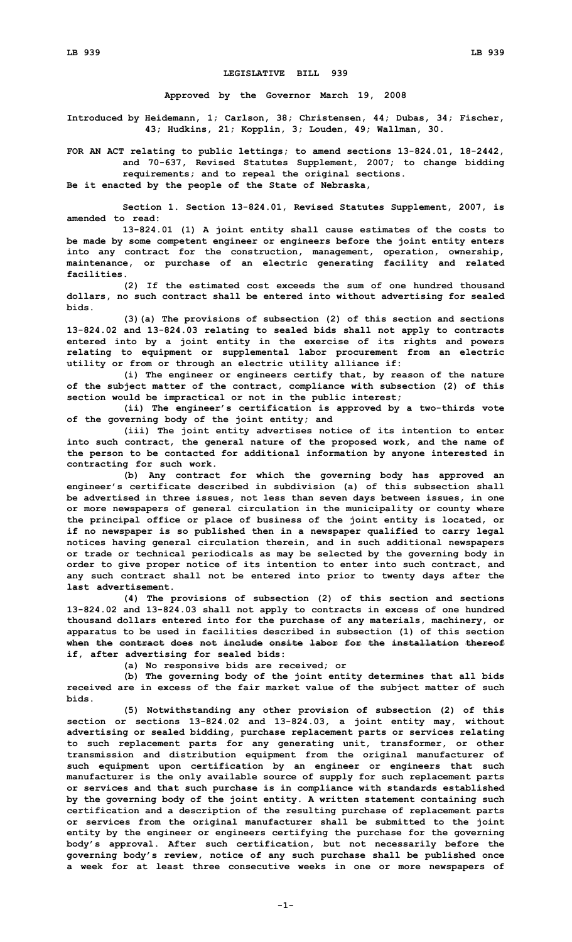## **LEGISLATIVE BILL 939**

**Approved by the Governor March 19, 2008**

**Introduced by Heidemann, 1; Carlson, 38; Christensen, 44; Dubas, 34; Fischer, 43; Hudkins, 21; Kopplin, 3; Louden, 49; Wallman, 30.**

**FOR AN ACT relating to public lettings; to amend sections 13-824.01, 18-2442, and 70-637, Revised Statutes Supplement, 2007; to change bidding requirements; and to repeal the original sections.**

**Be it enacted by the people of the State of Nebraska,**

**Section 1. Section 13-824.01, Revised Statutes Supplement, 2007, is amended to read:**

**13-824.01 (1) <sup>A</sup> joint entity shall cause estimates of the costs to be made by some competent engineer or engineers before the joint entity enters into any contract for the construction, management, operation, ownership, maintenance, or purchase of an electric generating facility and related facilities.**

**(2) If the estimated cost exceeds the sum of one hundred thousand dollars, no such contract shall be entered into without advertising for sealed bids.**

**(3)(a) The provisions of subsection (2) of this section and sections 13-824.02 and 13-824.03 relating to sealed bids shall not apply to contracts entered into by <sup>a</sup> joint entity in the exercise of its rights and powers relating to equipment or supplemental labor procurement from an electric utility or from or through an electric utility alliance if:**

**(i) The engineer or engineers certify that, by reason of the nature of the subject matter of the contract, compliance with subsection (2) of this section would be impractical or not in the public interest;**

**(ii) The engineer's certification is approved by <sup>a</sup> two-thirds vote of the governing body of the joint entity; and**

**(iii) The joint entity advertises notice of its intention to enter into such contract, the general nature of the proposed work, and the name of the person to be contacted for additional information by anyone interested in contracting for such work.**

**(b) Any contract for which the governing body has approved an engineer's certificate described in subdivision (a) of this subsection shall be advertised in three issues, not less than seven days between issues, in one or more newspapers of general circulation in the municipality or county where the principal office or place of business of the joint entity is located, or if no newspaper is so published then in <sup>a</sup> newspaper qualified to carry legal notices having general circulation therein, and in such additional newspapers or trade or technical periodicals as may be selected by the governing body in order to give proper notice of its intention to enter into such contract, and any such contract shall not be entered into prior to twenty days after the last advertisement.**

**(4) The provisions of subsection (2) of this section and sections 13-824.02 and 13-824.03 shall not apply to contracts in excess of one hundred thousand dollars entered into for the purchase of any materials, machinery, or apparatus to be used in facilities described in subsection (1) of this section when the contract does not include onsite labor for the installation thereof if, after advertising for sealed bids:**

**(a) No responsive bids are received; or**

**(b) The governing body of the joint entity determines that all bids received are in excess of the fair market value of the subject matter of such bids.**

**(5) Notwithstanding any other provision of subsection (2) of this section or sections 13-824.02 and 13-824.03, <sup>a</sup> joint entity may, without advertising or sealed bidding, purchase replacement parts or services relating to such replacement parts for any generating unit, transformer, or other transmission and distribution equipment from the original manufacturer of such equipment upon certification by an engineer or engineers that such manufacturer is the only available source of supply for such replacement parts or services and that such purchase is in compliance with standards established by the governing body of the joint entity. A written statement containing such certification and <sup>a</sup> description of the resulting purchase of replacement parts or services from the original manufacturer shall be submitted to the joint entity by the engineer or engineers certifying the purchase for the governing body's approval. After such certification, but not necessarily before the governing body's review, notice of any such purchase shall be published once <sup>a</sup> week for at least three consecutive weeks in one or more newspapers of**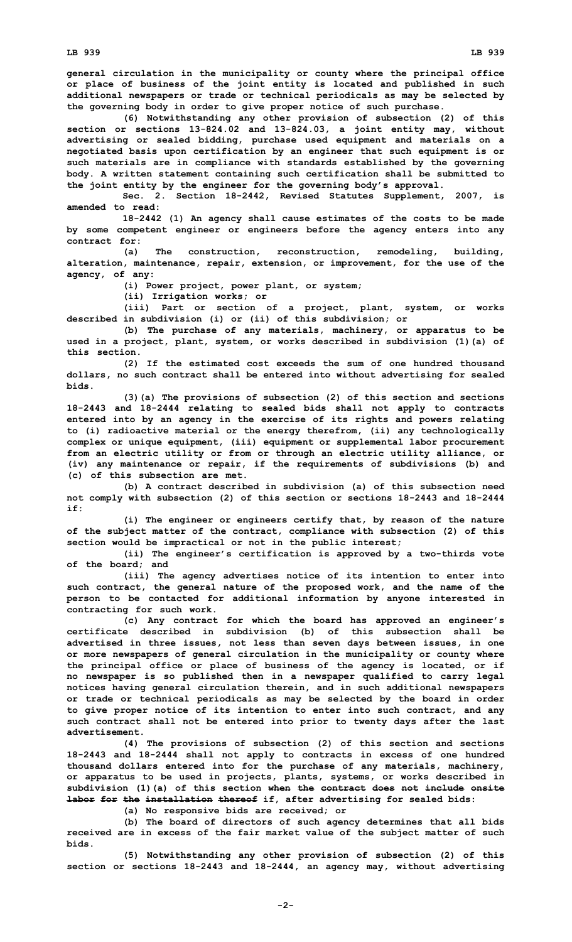**general circulation in the municipality or county where the principal office or place of business of the joint entity is located and published in such additional newspapers or trade or technical periodicals as may be selected by the governing body in order to give proper notice of such purchase.**

**(6) Notwithstanding any other provision of subsection (2) of this section or sections 13-824.02 and 13-824.03, <sup>a</sup> joint entity may, without advertising or sealed bidding, purchase used equipment and materials on <sup>a</sup> negotiated basis upon certification by an engineer that such equipment is or such materials are in compliance with standards established by the governing body. A written statement containing such certification shall be submitted to the joint entity by the engineer for the governing body's approval.**

**Sec. 2. Section 18-2442, Revised Statutes Supplement, 2007, is amended to read:**

**18-2442 (1) An agency shall cause estimates of the costs to be made by some competent engineer or engineers before the agency enters into any contract for:**

**(a) The construction, reconstruction, remodeling, building, alteration, maintenance, repair, extension, or improvement, for the use of the agency, of any:**

**(i) Power project, power plant, or system;**

**(ii) Irrigation works; or**

**(iii) Part or section of <sup>a</sup> project, plant, system, or works described in subdivision (i) or (ii) of this subdivision; or**

**(b) The purchase of any materials, machinery, or apparatus to be used in <sup>a</sup> project, plant, system, or works described in subdivision (1)(a) of this section.**

**(2) If the estimated cost exceeds the sum of one hundred thousand dollars, no such contract shall be entered into without advertising for sealed bids.**

**(3)(a) The provisions of subsection (2) of this section and sections 18-2443 and 18-2444 relating to sealed bids shall not apply to contracts entered into by an agency in the exercise of its rights and powers relating to (i) radioactive material or the energy therefrom, (ii) any technologically complex or unique equipment, (iii) equipment or supplemental labor procurement from an electric utility or from or through an electric utility alliance, or (iv) any maintenance or repair, if the requirements of subdivisions (b) and (c) of this subsection are met.**

**(b) A contract described in subdivision (a) of this subsection need not comply with subsection (2) of this section or sections 18-2443 and 18-2444 if:**

**(i) The engineer or engineers certify that, by reason of the nature of the subject matter of the contract, compliance with subsection (2) of this section would be impractical or not in the public interest;**

**(ii) The engineer's certification is approved by <sup>a</sup> two-thirds vote of the board; and**

**(iii) The agency advertises notice of its intention to enter into such contract, the general nature of the proposed work, and the name of the person to be contacted for additional information by anyone interested in contracting for such work.**

**(c) Any contract for which the board has approved an engineer's certificate described in subdivision (b) of this subsection shall be advertised in three issues, not less than seven days between issues, in one or more newspapers of general circulation in the municipality or county where the principal office or place of business of the agency is located, or if no newspaper is so published then in <sup>a</sup> newspaper qualified to carry legal notices having general circulation therein, and in such additional newspapers or trade or technical periodicals as may be selected by the board in order to give proper notice of its intention to enter into such contract, and any such contract shall not be entered into prior to twenty days after the last advertisement.**

**(4) The provisions of subsection (2) of this section and sections 18-2443 and 18-2444 shall not apply to contracts in excess of one hundred thousand dollars entered into for the purchase of any materials, machinery, or apparatus to be used in projects, plants, systems, or works described in subdivision (1)(a) of this section when the contract does not include onsite labor for the installation thereof if, after advertising for sealed bids:**

**(a) No responsive bids are received; or**

**(b) The board of directors of such agency determines that all bids received are in excess of the fair market value of the subject matter of such bids.**

**(5) Notwithstanding any other provision of subsection (2) of this section or sections 18-2443 and 18-2444, an agency may, without advertising**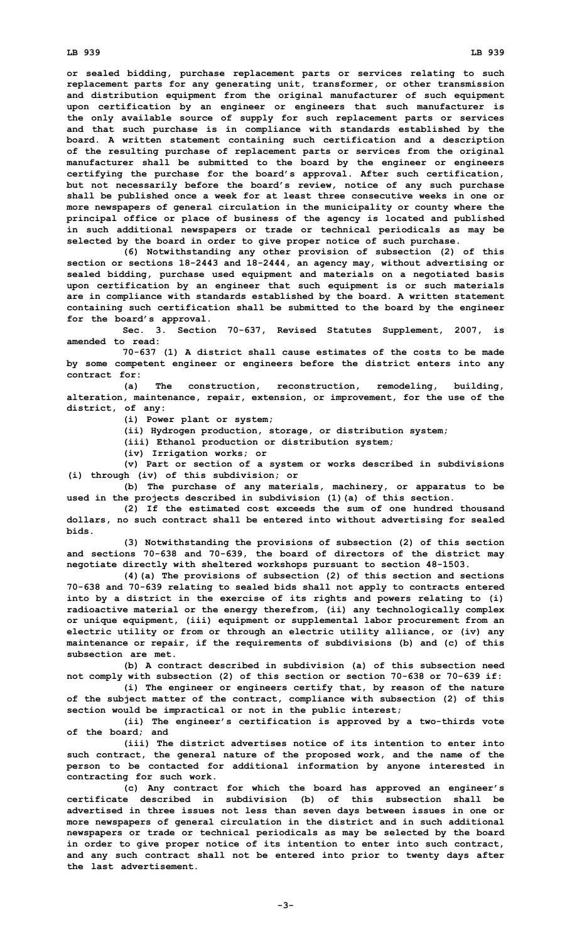**or sealed bidding, purchase replacement parts or services relating to such replacement parts for any generating unit, transformer, or other transmission and distribution equipment from the original manufacturer of such equipment upon certification by an engineer or engineers that such manufacturer is the only available source of supply for such replacement parts or services and that such purchase is in compliance with standards established by the board. A written statement containing such certification and <sup>a</sup> description of the resulting purchase of replacement parts or services from the original manufacturer shall be submitted to the board by the engineer or engineers certifying the purchase for the board's approval. After such certification, but not necessarily before the board's review, notice of any such purchase shall be published once <sup>a</sup> week for at least three consecutive weeks in one or more newspapers of general circulation in the municipality or county where the principal office or place of business of the agency is located and published in such additional newspapers or trade or technical periodicals as may be selected by the board in order to give proper notice of such purchase.**

**(6) Notwithstanding any other provision of subsection (2) of this section or sections 18-2443 and 18-2444, an agency may, without advertising or sealed bidding, purchase used equipment and materials on <sup>a</sup> negotiated basis upon certification by an engineer that such equipment is or such materials are in compliance with standards established by the board. A written statement containing such certification shall be submitted to the board by the engineer for the board's approval.**

**Sec. 3. Section 70-637, Revised Statutes Supplement, 2007, is amended to read:**

**70-637 (1) A district shall cause estimates of the costs to be made by some competent engineer or engineers before the district enters into any contract for:**

**(a) The construction, reconstruction, remodeling, building, alteration, maintenance, repair, extension, or improvement, for the use of the district, of any:**

**(i) Power plant or system;**

**(ii) Hydrogen production, storage, or distribution system;**

**(iii) Ethanol production or distribution system;**

**(iv) Irrigation works; or**

**(v) Part or section of <sup>a</sup> system or works described in subdivisions (i) through (iv) of this subdivision; or**

**(b) The purchase of any materials, machinery, or apparatus to be used in the projects described in subdivision (1)(a) of this section.**

**(2) If the estimated cost exceeds the sum of one hundred thousand dollars, no such contract shall be entered into without advertising for sealed bids.**

**(3) Notwithstanding the provisions of subsection (2) of this section and sections 70-638 and 70-639, the board of directors of the district may negotiate directly with sheltered workshops pursuant to section 48-1503.**

**(4)(a) The provisions of subsection (2) of this section and sections 70-638 and 70-639 relating to sealed bids shall not apply to contracts entered into by <sup>a</sup> district in the exercise of its rights and powers relating to (i) radioactive material or the energy therefrom, (ii) any technologically complex or unique equipment, (iii) equipment or supplemental labor procurement from an electric utility or from or through an electric utility alliance, or (iv) any maintenance or repair, if the requirements of subdivisions (b) and (c) of this subsection are met.**

**(b) A contract described in subdivision (a) of this subsection need not comply with subsection (2) of this section or section 70-638 or 70-639 if:**

**(i) The engineer or engineers certify that, by reason of the nature of the subject matter of the contract, compliance with subsection (2) of this section would be impractical or not in the public interest;**

**(ii) The engineer's certification is approved by <sup>a</sup> two-thirds vote of the board; and**

**(iii) The district advertises notice of its intention to enter into such contract, the general nature of the proposed work, and the name of the person to be contacted for additional information by anyone interested in contracting for such work.**

**(c) Any contract for which the board has approved an engineer's certificate described in subdivision (b) of this subsection shall be advertised in three issues not less than seven days between issues in one or more newspapers of general circulation in the district and in such additional newspapers or trade or technical periodicals as may be selected by the board in order to give proper notice of its intention to enter into such contract, and any such contract shall not be entered into prior to twenty days after the last advertisement.**